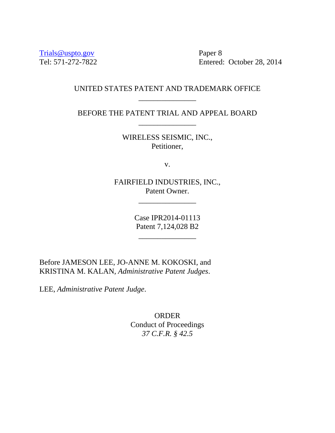Trials@uspto.gov Paper 8

Tel: 571-272-7822 Entered: October 28, 2014

# UNITED STATES PATENT AND TRADEMARK OFFICE \_\_\_\_\_\_\_\_\_\_\_\_\_\_\_

BEFORE THE PATENT TRIAL AND APPEAL BOARD \_\_\_\_\_\_\_\_\_\_\_\_\_\_\_

> WIRELESS SEISMIC, INC., Petitioner,

> > v.

FAIRFIELD INDUSTRIES, INC., Patent Owner.

\_\_\_\_\_\_\_\_\_\_\_\_\_\_\_

Case IPR2014-01113 Patent 7,124,028 B2

\_\_\_\_\_\_\_\_\_\_\_\_\_\_\_

Before JAMESON LEE, JO-ANNE M. KOKOSKI, and KRISTINA M. KALAN, *Administrative Patent Judges*.

LEE, *Administrative Patent Judge*.

ORDER Conduct of Proceedings *37 C.F.R. § 42.5*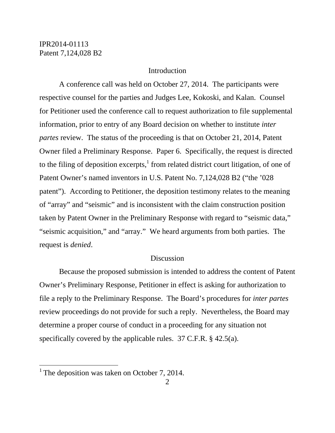## **Introduction**

A conference call was held on October 27, 2014. The participants were respective counsel for the parties and Judges Lee, Kokoski, and Kalan. Counsel for Petitioner used the conference call to request authorization to file supplemental information, prior to entry of any Board decision on whether to institute *inter partes* review. The status of the proceeding is that on October 21, 2014, Patent Owner filed a Preliminary Response. Paper 6. Specifically, the request is directed to the filing of deposition excerpts, $<sup>1</sup>$  from related district court litigation, of one of</sup> Patent Owner's named inventors in U.S. Patent No. 7,124,028 B2 ("the '028 patent"). According to Petitioner, the deposition testimony relates to the meaning of "array" and "seismic" and is inconsistent with the claim construction position taken by Patent Owner in the Preliminary Response with regard to "seismic data," "seismic acquisition," and "array." We heard arguments from both parties. The request is *denied*.

#### **Discussion**

 Because the proposed submission is intended to address the content of Patent Owner's Preliminary Response, Petitioner in effect is asking for authorization to file a reply to the Preliminary Response. The Board's procedures for *inter partes* review proceedings do not provide for such a reply. Nevertheless, the Board may determine a proper course of conduct in a proceeding for any situation not specifically covered by the applicable rules. 37 C.F.R. § 42.5(a).

 $\overline{a}$ 

<sup>&</sup>lt;sup>1</sup> The deposition was taken on October 7, 2014.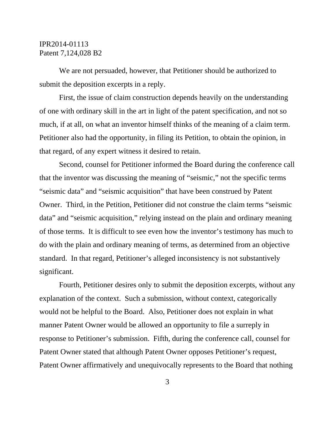## IPR2014-01113 Patent 7,124,028 B2

 We are not persuaded, however, that Petitioner should be authorized to submit the deposition excerpts in a reply.

 First, the issue of claim construction depends heavily on the understanding of one with ordinary skill in the art in light of the patent specification, and not so much, if at all, on what an inventor himself thinks of the meaning of a claim term. Petitioner also had the opportunity, in filing its Petition, to obtain the opinion, in that regard, of any expert witness it desired to retain.

 Second, counsel for Petitioner informed the Board during the conference call that the inventor was discussing the meaning of "seismic," not the specific terms "seismic data" and "seismic acquisition" that have been construed by Patent Owner. Third, in the Petition, Petitioner did not construe the claim terms "seismic data" and "seismic acquisition," relying instead on the plain and ordinary meaning of those terms. It is difficult to see even how the inventor's testimony has much to do with the plain and ordinary meaning of terms, as determined from an objective standard. In that regard, Petitioner's alleged inconsistency is not substantively significant.

 Fourth, Petitioner desires only to submit the deposition excerpts, without any explanation of the context. Such a submission, without context, categorically would not be helpful to the Board. Also, Petitioner does not explain in what manner Patent Owner would be allowed an opportunity to file a surreply in response to Petitioner's submission. Fifth, during the conference call, counsel for Patent Owner stated that although Patent Owner opposes Petitioner's request, Patent Owner affirmatively and unequivocally represents to the Board that nothing

3